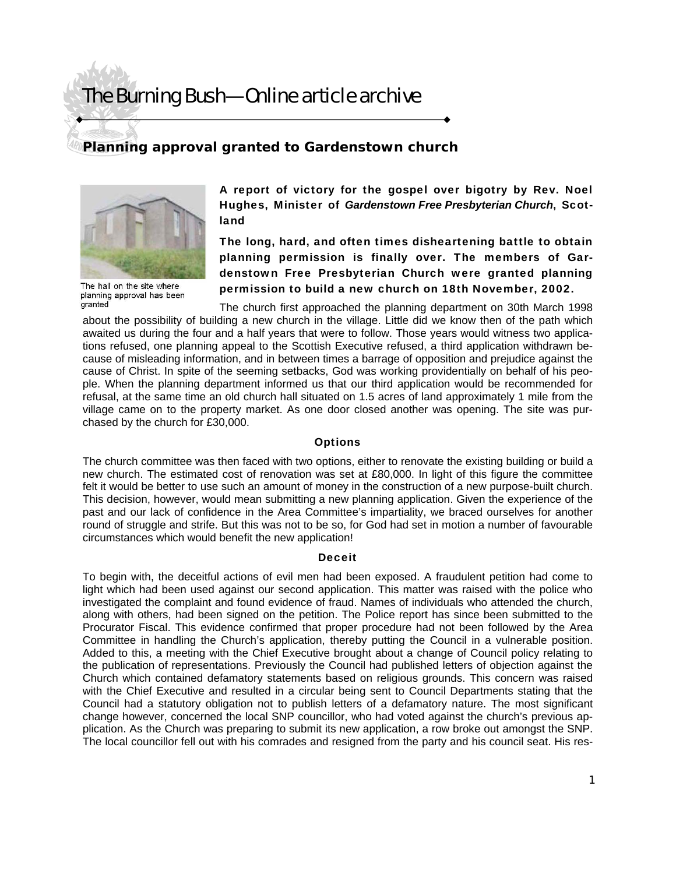# The Burning Bush—Online article archive

### **Planning approval granted to Gardenstown church**



The hall on the site where planning approval has been granted

A report of victory for the gospel over bigotry by Rev. Noel Hughes, Minister of *Gardenstown Free Presbyterian Church*, Scotland

The long, hard, and often times disheartening battle to obtain planning permission is finally over. The members of Gardenstown Free Presbyterian Church were granted planning permission to build a new church on 18th November, 2002.

The church first approached the planning department on 30th March 1998 about the possibility of building a new church in the village. Little did we know then of the path which awaited us during the four and a half years that were to follow. Those years would witness two applications refused, one planning appeal to the Scottish Executive refused, a third application withdrawn because of misleading information, and in between times a barrage of opposition and prejudice against the cause of Christ. In spite of the seeming setbacks, God was working providentially on behalf of his people. When the planning department informed us that our third application would be recommended for refusal, at the same time an old church hall situated on 1.5 acres of land approximately 1 mile from the village came on to the property market. As one door closed another was opening. The site was purchased by the church for £30,000.

### **Options**

The church committee was then faced with two options, either to renovate the existing building or build a new church. The estimated cost of renovation was set at £80,000. In light of this figure the committee felt it would be better to use such an amount of money in the construction of a new purpose-built church. This decision, however, would mean submitting a new planning application. Given the experience of the past and our lack of confidence in the Area Committee's impartiality, we braced ourselves for another round of struggle and strife. But this was not to be so, for God had set in motion a number of favourable circumstances which would benefit the new application!

#### **Deceit**

To begin with, the deceitful actions of evil men had been exposed. A fraudulent petition had come to light which had been used against our second application. This matter was raised with the police who investigated the complaint and found evidence of fraud. Names of individuals who attended the church, along with others, had been signed on the petition. The Police report has since been submitted to the Procurator Fiscal. This evidence confirmed that proper procedure had not been followed by the Area Committee in handling the Church's application, thereby putting the Council in a vulnerable position. Added to this, a meeting with the Chief Executive brought about a change of Council policy relating to the publication of representations. Previously the Council had published letters of objection against the Church which contained defamatory statements based on religious grounds. This concern was raised with the Chief Executive and resulted in a circular being sent to Council Departments stating that the Council had a statutory obligation not to publish letters of a defamatory nature. The most significant change however, concerned the local SNP councillor, who had voted against the church's previous application. As the Church was preparing to submit its new application, a row broke out amongst the SNP. The local councillor fell out with his comrades and resigned from the party and his council seat. His res-